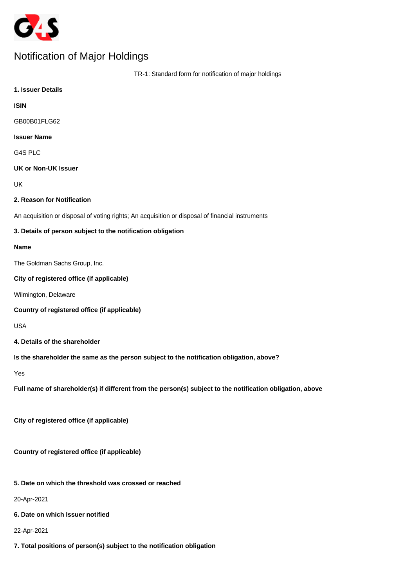

# Notification of Major Holdings

| TR-1: Standard form for notification of major holdings                                                    |
|-----------------------------------------------------------------------------------------------------------|
| 1. Issuer Details                                                                                         |
| <b>ISIN</b>                                                                                               |
| GB00B01FLG62                                                                                              |
| <b>Issuer Name</b>                                                                                        |
| G4S PLC                                                                                                   |
| <b>UK or Non-UK Issuer</b>                                                                                |
| UK                                                                                                        |
| 2. Reason for Notification                                                                                |
| An acquisition or disposal of voting rights; An acquisition or disposal of financial instruments          |
| 3. Details of person subject to the notification obligation                                               |
| <b>Name</b>                                                                                               |
| The Goldman Sachs Group, Inc.                                                                             |
| City of registered office (if applicable)                                                                 |
| Wilmington, Delaware                                                                                      |
| Country of registered office (if applicable)                                                              |
| <b>USA</b>                                                                                                |
| 4. Details of the shareholder                                                                             |
| Is the shareholder the same as the person subject to the notification obligation, above?                  |
| Yes                                                                                                       |
| Full name of shareholder(s) if different from the person(s) subject to the notification obligation, above |
| City of registered office (if applicable)                                                                 |
| Country of registered office (if applicable)                                                              |
| 5. Date on which the threshold was crossed or reached                                                     |
| 20-Apr-2021                                                                                               |
| 6. Date on which Issuer notified                                                                          |
| 22-Apr-2021                                                                                               |
| 7. Total positions of person(s) subject to the notification obligation                                    |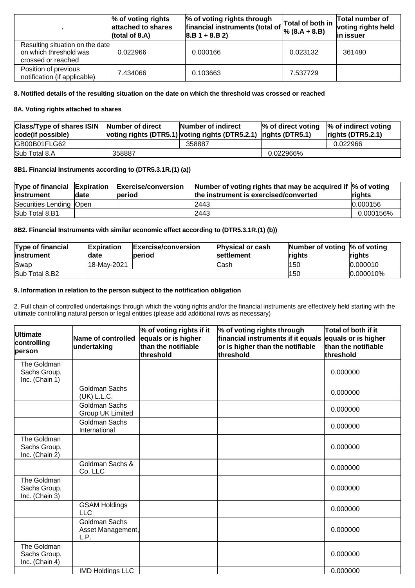|                                                                                 | $\%$ of voting rights<br>attached to shares<br>(total of 8.A) | % of voting rights through<br>financial instruments (total of<br>$ 8.B 1 + 8.B 2 $ | $\sqrt{ }$ Total of both in<br>$\%$ (8.A + 8.B) | Total number of<br>voting rights held<br>in issuer |
|---------------------------------------------------------------------------------|---------------------------------------------------------------|------------------------------------------------------------------------------------|-------------------------------------------------|----------------------------------------------------|
| Resulting situation on the date<br>on which threshold was<br>crossed or reached | 0.022966                                                      | 0.000166                                                                           | 0.023132                                        | 361480                                             |
| Position of previous<br>notification (if applicable)                            | 7.434066                                                      | 0.103663                                                                           | 7.537729                                        |                                                    |

# **8. Notified details of the resulting situation on the date on which the threshold was crossed or reached**

# **8A. Voting rights attached to shares**

| Class/Type of shares ISIN Number of direct<br>code(if possible) |        | Number of indirect<br>voting rights (DTR5.1) voting rights (DTR5.2.1) rights (DTR5.1) | $\%$ of direct voting | $\%$ of indirect voting<br>rights(DTR5.2.1) |
|-----------------------------------------------------------------|--------|---------------------------------------------------------------------------------------|-----------------------|---------------------------------------------|
| GB00B01FLG62                                                    |        | 358887                                                                                |                       | 0.022966                                    |
| Sub Total 8.A                                                   | 358887 |                                                                                       | 0.022966%             |                                             |

# **8B1. Financial Instruments according to (DTR5.3.1R.(1) (a))**

| Type of financial Expiration<br>linstrument | ldate | <b>Exercise/conversion</b><br>period | Number of voting rights that may be acquired if $\%$ of voting<br>the instrument is exercised/converted | rights    |
|---------------------------------------------|-------|--------------------------------------|---------------------------------------------------------------------------------------------------------|-----------|
| Securities Lending  Open                    |       |                                      | 2443                                                                                                    | 10.000156 |
| Sub Total 8.B1                              |       |                                      | 2443                                                                                                    | 0.000156% |

# **8B2. Financial Instruments with similar economic effect according to (DTR5.3.1R.(1) (b))**

| <b>Type of financial</b><br>linstrument | <b>Expiration</b><br>ldate | <b>Exercise/conversion</b><br><b>lperiod</b> | <b>Physical or cash</b><br><b>Isettlement</b> | Number of voting $\%$ of voting<br><b>rights</b> | <b>rights</b> |
|-----------------------------------------|----------------------------|----------------------------------------------|-----------------------------------------------|--------------------------------------------------|---------------|
| Swap                                    | l18-Mav-2021               |                                              | Cash                                          | l150                                             | 0.000010      |
| Sub Total 8.B2                          |                            |                                              |                                               | 150                                              | $ 0.000010\%$ |

#### **9. Information in relation to the person subject to the notification obligation**

2. Full chain of controlled undertakings through which the voting rights and/or the financial instruments are effectively held starting with the ultimate controlling natural person or legal entities (please add additional rows as necessary)

| Ultimate<br>controlling<br>person             | Name of controlled<br>undertaking                 | $\%$ of voting rights if it<br>equals or is higher<br>than the notifiable<br>lthreshold | % of voting rights through<br>financial instruments if it equals equals or is higher<br>or is higher than the notifiable<br>threshold | Total of both if it<br>than the notifiable<br>threshold |
|-----------------------------------------------|---------------------------------------------------|-----------------------------------------------------------------------------------------|---------------------------------------------------------------------------------------------------------------------------------------|---------------------------------------------------------|
| The Goldman<br>Sachs Group,<br>Inc. (Chain 1) |                                                   |                                                                                         |                                                                                                                                       | 0.000000                                                |
|                                               | Goldman Sachs<br>(UK) L.L.C.                      |                                                                                         |                                                                                                                                       | 0.000000                                                |
|                                               | <b>Goldman Sachs</b><br>Group UK Limited          |                                                                                         |                                                                                                                                       | 0.000000                                                |
|                                               | <b>Goldman Sachs</b><br>International             |                                                                                         |                                                                                                                                       | 0.000000                                                |
| The Goldman<br>Sachs Group,<br>Inc. (Chain 2) |                                                   |                                                                                         |                                                                                                                                       | 0.000000                                                |
|                                               | Goldman Sachs &<br>Co. LLC                        |                                                                                         |                                                                                                                                       | 0.000000                                                |
| The Goldman<br>Sachs Group,<br>Inc. (Chain 3) |                                                   |                                                                                         |                                                                                                                                       | 0.000000                                                |
|                                               | <b>GSAM Holdings</b><br><b>LLC</b>                |                                                                                         |                                                                                                                                       | 0.000000                                                |
|                                               | <b>Goldman Sachs</b><br>Asset Management,<br>L.P. |                                                                                         |                                                                                                                                       | 0.000000                                                |
| The Goldman<br>Sachs Group,<br>Inc. (Chain 4) |                                                   |                                                                                         |                                                                                                                                       | 0.000000                                                |
|                                               | <b>IMD Holdings LLC</b>                           |                                                                                         |                                                                                                                                       | 0.000000                                                |